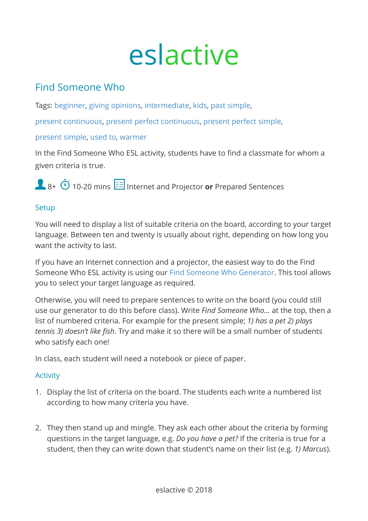# eslactive

# Find Someone Who

Tags: [beginner](https://eslactive.com/tag/beginner/), [giving opinions](https://eslactive.com/tag/giving-opinions/), [intermediate](https://eslactive.com/tag/intermediate/), [kids,](https://eslactive.com/tag/kids/) [past simple](https://eslactive.com/tag/past-simple/),

[present continuous](https://eslactive.com/tag/present-continuous/), [present perfect continuous](https://eslactive.com/tag/present-perfect-continuous/), [present perfect simple,](https://eslactive.com/tag/present-perfect-simple/)

#### [present simple,](https://eslactive.com/tag/present-simple/) [used to,](https://eslactive.com/tag/used-to/) [warmer](https://eslactive.com/tag/warmer/)

In the Find Someone Who ESL activity, students have to find a classmate for whom a given criteria is true.

8+  $\ddot{\textbf{O}}$  10-20 mins  $\dddot{\textbf{E}}$  Internet and Projector **or** Prepared Sentences

## **Setup**

You will need to display a list of suitable criteria on the board, according to your target language. Between ten and twenty is usually about right, depending on how long you want the activity to last.

If you have an Internet connection and a projector, the easiest way to do the Find Someone Who ESL activity is using our [Find Someone Who Generator.](https://eslactive.com/interactive/find-someone-who-generator/) This tool allows you to select your target language as required.

Otherwise, you will need to prepare sentences to write on the board (you could still use our generator to do this before class). Write *Find Someone Who…* at the top, then a list of numbered criteria. For example for the present simple; *1) has a pet 2) plays tennis 3) doesn't like fish*. Try and make it so there will be a small number of students who satisfy each one!

In class, each student will need a notebook or piece of paper.

## Activity

- 1. Display the list of criteria on the board. The students each write a numbered list according to how many criteria you have.
- 2. They then stand up and mingle. They ask each other about the criteria by forming questions in the target language, e.g. *Do you have a pet?* If the criteria is true for a student, then they can write down that student's name on their list (e.g. *1) Marcus*).